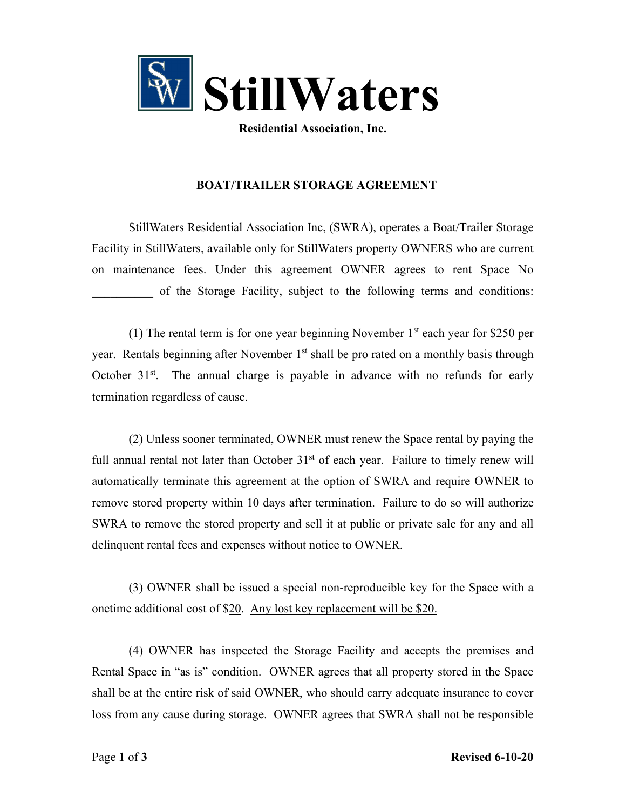

**Residential Association, Inc.**

## **BOAT/TRAILER STORAGE AGREEMENT**

StillWaters Residential Association Inc, (SWRA), operates a Boat/Trailer Storage Facility in StillWaters, available only for StillWaters property OWNERS who are current on maintenance fees. Under this agreement OWNER agrees to rent Space No of the Storage Facility, subject to the following terms and conditions:

(1) The rental term is for one year beginning November  $1<sup>st</sup>$  each year for \$250 per year. Rentals beginning after November 1<sup>st</sup> shall be pro rated on a monthly basis through October  $31<sup>st</sup>$ . The annual charge is payable in advance with no refunds for early termination regardless of cause.

(2) Unless sooner terminated, OWNER must renew the Space rental by paying the full annual rental not later than October  $31<sup>st</sup>$  of each year. Failure to timely renew will automatically terminate this agreement at the option of SWRA and require OWNER to remove stored property within 10 days after termination. Failure to do so will authorize SWRA to remove the stored property and sell it at public or private sale for any and all delinquent rental fees and expenses without notice to OWNER.

(3) OWNER shall be issued a special non-reproducible key for the Space with a onetime additional cost of \$20. Any lost key replacement will be \$20.

(4) OWNER has inspected the Storage Facility and accepts the premises and Rental Space in "as is" condition. OWNER agrees that all property stored in the Space shall be at the entire risk of said OWNER, who should carry adequate insurance to cover loss from any cause during storage. OWNER agrees that SWRA shall not be responsible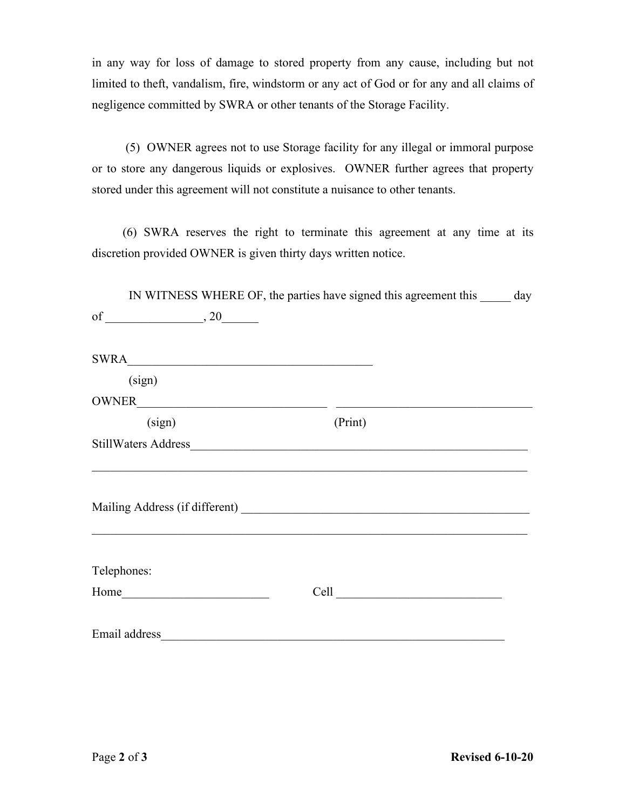in any way for loss of damage to stored property from any cause, including but not limited to theft, vandalism, fire, windstorm or any act of God or for any and all claims of negligence committed by SWRA or other tenants of the Storage Facility.

 (5) OWNER agrees not to use Storage facility for any illegal or immoral purpose or to store any dangerous liquids or explosives. OWNER further agrees that property stored under this agreement will not constitute a nuisance to other tenants.

 (6) SWRA reserves the right to terminate this agreement at any time at its discretion provided OWNER is given thirty days written notice.

| SWRA<br>(sign)<br>OWNER<br>(sign)<br>(Print)<br>Telephones: |      | IN WITNESS WHERE OF, the parties have signed this agreement this ______ day |  |
|-------------------------------------------------------------|------|-----------------------------------------------------------------------------|--|
|                                                             |      |                                                                             |  |
|                                                             |      |                                                                             |  |
|                                                             |      |                                                                             |  |
|                                                             |      |                                                                             |  |
|                                                             |      |                                                                             |  |
|                                                             |      |                                                                             |  |
|                                                             |      |                                                                             |  |
|                                                             |      |                                                                             |  |
|                                                             |      |                                                                             |  |
|                                                             |      |                                                                             |  |
|                                                             |      |                                                                             |  |
|                                                             |      |                                                                             |  |
|                                                             |      |                                                                             |  |
|                                                             | Home |                                                                             |  |
|                                                             |      |                                                                             |  |
|                                                             |      |                                                                             |  |